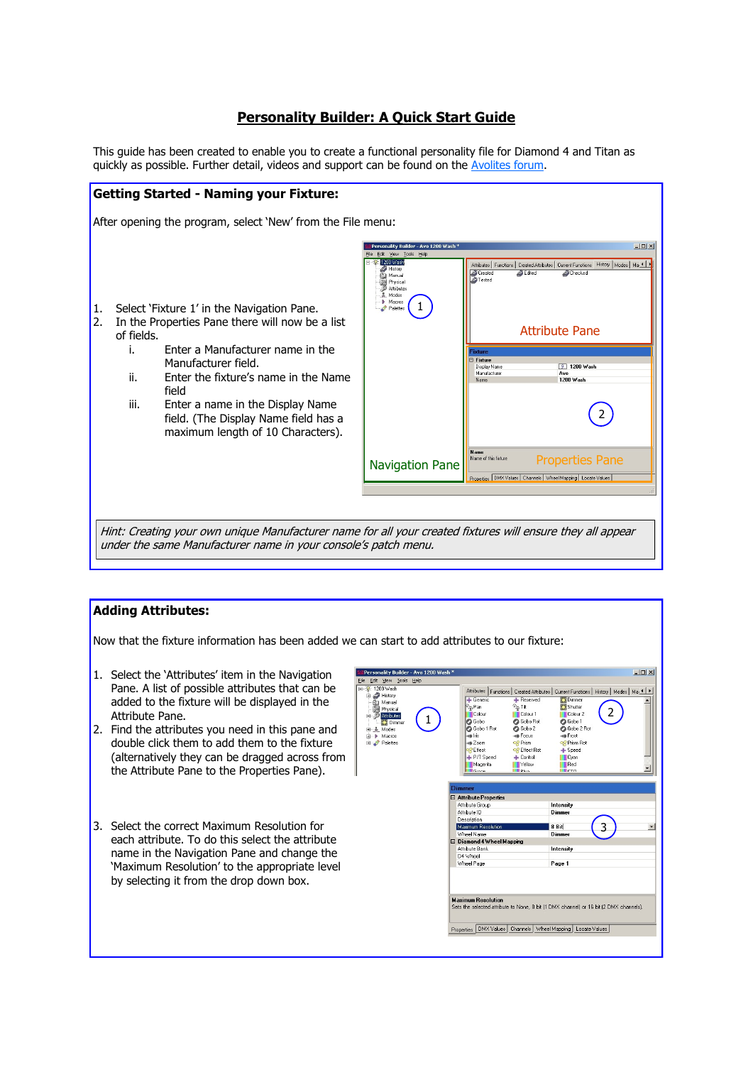# **Personality Builder: A Quick Start Guide**

This guide has been created to enable you to create a functional personality file for Diamond 4 and Titan as quickly as possible. Further detail, videos and support can be found on the Avolites forum.



### **Adding Attributes:**

Now that the fixture information has been added we can start to add attributes to our fixture:

- 1. Select the 'Attributes' item in the Navigation Pane. A list of possible attributes that can be added to the fixture will be displayed in the Attribute Pane.
- 2. Find the attributes you need in this pane and double click them to add them to the fixture (alternatively they can be dragged across from the Attribute Pane to the Properties Pane).
- 3. Select the correct Maximum Resolution for each attribute. To do this select the attribute name in the Navigation Pane and change the 'Maximum Resolution' to the appropriate level by selecting it from the drop down box.

| File Edit View Tools<br>Help        |                                                                              |                                                                                               |
|-------------------------------------|------------------------------------------------------------------------------|-----------------------------------------------------------------------------------------------|
| 日 ※ 1200 Wash<br><b>E B</b> History |                                                                              | Attributes   Functions   Created Attributes   Current Functions   History   Modes   Mai 4   P |
| <b>ID</b> Manual                    | + Generic                                                                    | <b>Dimmer</b><br>+ Reserved                                                                   |
| Physical                            | $\Phi_{\rm sp}$ Tilt<br>$\widehat{\mathbb{P}}_{\widehat{\mathbb{F}}^n}$ Pan  | Shutter                                                                                       |
| Attributes                          | Colour                                                                       | Colour <sub>2</sub><br>Colour 1                                                               |
| Dimmer                              | <b>O</b> Gobo                                                                | <b>C</b> Gobo Rot<br><b>O</b> Gobo 1                                                          |
| 由 鼻 Modes                           | Gobo 1 Rot                                                                   | <b>O</b> Gobo 2<br><b>C</b> Gobo 2 Rot                                                        |
| <b>ii</b> Macros                    | cial do-                                                                     | en Frost<br>Hill Focus                                                                        |
| <b>E</b> Palettes                   | ≪à Zoom                                                                      | og Prism<br>OR Prism Rot                                                                      |
|                                     | OR Effect                                                                    | OR Effect Rot<br>$+$ Speed                                                                    |
|                                     | + P/T Speed                                                                  | $+$ Control<br><b>Cyan</b>                                                                    |
|                                     | Magenta                                                                      | Red<br>Yellow                                                                                 |
|                                     | <b>III</b> Dhan<br><b>Cross</b>                                              | $I = C T C$                                                                                   |
|                                     | Description<br>Maximum Resolution<br>Wheel Name<br>□ Diamond 4 Wheel Mapping | 8 Bit<br>٠<br>Dimmer                                                                          |
|                                     | Attribute Bank                                                               | Intensity                                                                                     |
|                                     | D4 Wheel                                                                     |                                                                                               |
|                                     | Wheel Page                                                                   | Page 1                                                                                        |
|                                     |                                                                              |                                                                                               |
|                                     | <b>Maximum Besolution</b>                                                    | Sets the selected attribute to None, 8 bit [1 DMX channel] or 16 bit [2 DMX channels].        |
|                                     |                                                                              |                                                                                               |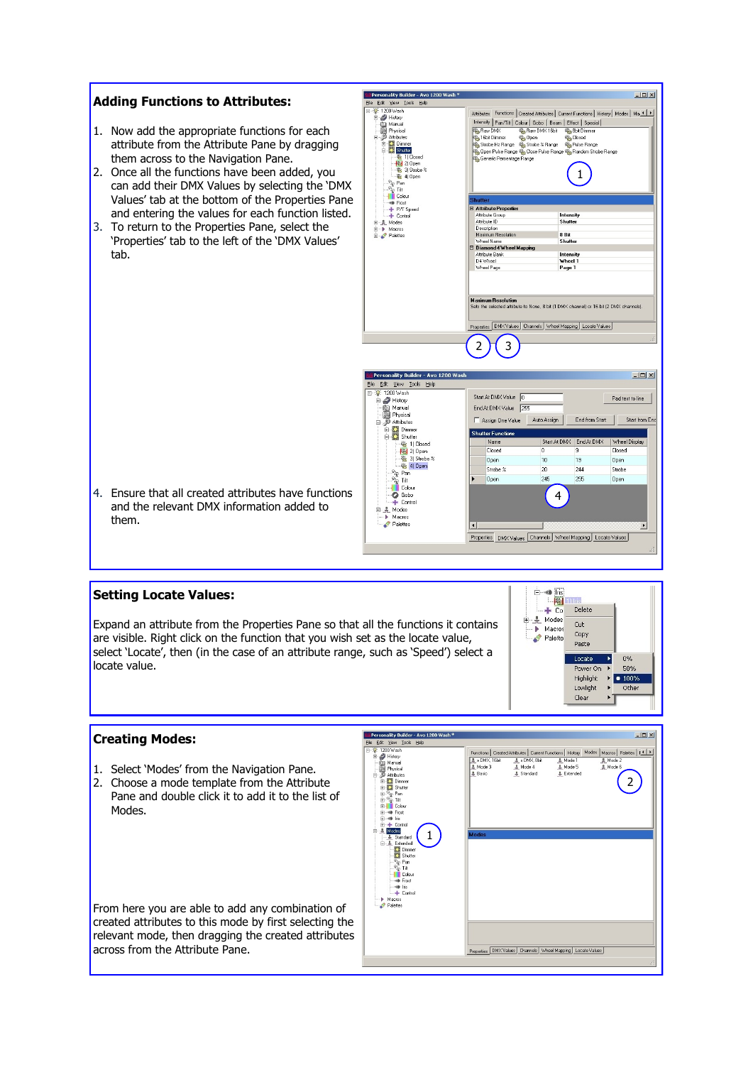# **Adding Functions to Attributes:**

- 1. Now add the appropriate functions for each attribute from the Attribute Pane by dragging them across to the Navigation Pane.
- 2. Once all the functions have been added, you can add their DMX Values by selecting the 'DMX Values' tab at the bottom of the Properties Pane and entering the values for each function listed.
- 3. To return to the Properties Pane, select the 'Properties' tab to the left of the 'DMX Values' tab.



4. Ensure that all created attributes have functions and the relevant DMX information added to them.

#### **Setting Locate Values:**

Expand an attribute from the Properties Pane so that all the functions it contains are visible. Right click on the function that you wish set as the locate value, select 'Locate', then (in the case of an attribute range, such as 'Speed') select a locate value.



 $-10x$ 

### **Creating Modes:**

- 1. Select 'Modes' from the Navigation Pane.
- 2. Choose a mode template from the Attribute Pane and double click it to add it to the list of Modes.

From here you are able to add any combination of created attributes to this mode by first selecting the relevant mode, then dragging the created attributes across from the Attribute Pane.



.<br>Listopolitan - Anglico dell'